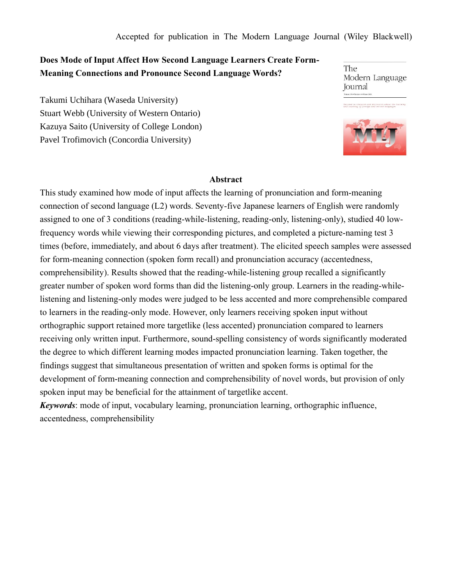Accepted for publication in The Modern Language Journal (Wiley Blackwell)

# **Does Mode of Input Affect How Second Language Learners Create Form-Meaning Connections and Pronounce Second Language Words?**

Takumi Uchihara (Waseda University) Stuart Webb (University of Western Ontario) Kazuya Saito (University of College London) Pavel Trofimovich (Concordia University)

The Modern Language **Journal** 

.<br>Decoted to research and discussion about the les<br>and teaching of foreign and recond tanguages



#### **Abstract**

This study examined how mode of input affects the learning of pronunciation and form-meaning connection of second language (L2) words. Seventy-five Japanese learners of English were randomly assigned to one of 3 conditions (reading-while-listening, reading-only, listening-only), studied 40 lowfrequency words while viewing their corresponding pictures, and completed a picture-naming test 3 times (before, immediately, and about 6 days after treatment). The elicited speech samples were assessed for form-meaning connection (spoken form recall) and pronunciation accuracy (accentedness, comprehensibility). Results showed that the reading-while-listening group recalled a significantly greater number of spoken word forms than did the listening-only group. Learners in the reading-whilelistening and listening-only modes were judged to be less accented and more comprehensible compared to learners in the reading-only mode. However, only learners receiving spoken input without orthographic support retained more targetlike (less accented) pronunciation compared to learners receiving only written input. Furthermore, sound-spelling consistency of words significantly moderated the degree to which different learning modes impacted pronunciation learning. Taken together, the findings suggest that simultaneous presentation of written and spoken forms is optimal for the development of form-meaning connection and comprehensibility of novel words, but provision of only spoken input may be beneficial for the attainment of targetlike accent.

*Keywords*: mode of input, vocabulary learning, pronunciation learning, orthographic influence, accentedness, comprehensibility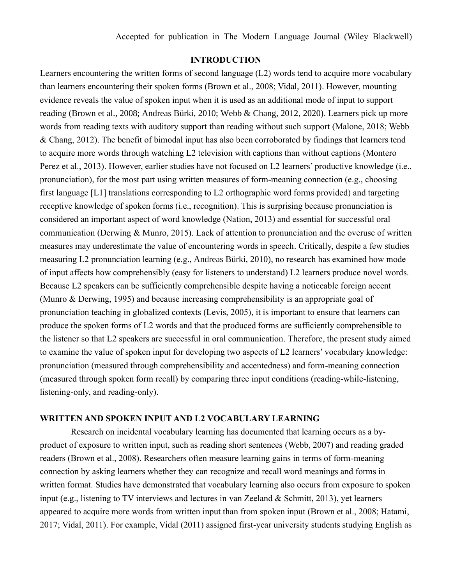## **INTRODUCTION**

Learners encountering the written forms of second language (L2) words tend to acquire more vocabulary than learners encountering their spoken forms (Brown et al., 2008; Vidal, 2011). However, mounting evidence reveals the value of spoken input when it is used as an additional mode of input to support reading (Brown et al., 2008; Andreas Bürki, 2010; Webb & Chang, 2012, 2020). Learners pick up more words from reading texts with auditory support than reading without such support (Malone, 2018; Webb & Chang, 2012). The benefit of bimodal input has also been corroborated by findings that learners tend to acquire more words through watching L2 television with captions than without captions (Montero Perez et al., 2013). However, earlier studies have not focused on L2 learners' productive knowledge (i.e., pronunciation), for the most part using written measures of form-meaning connection (e.g., choosing first language [L1] translations corresponding to L2 orthographic word forms provided) and targeting receptive knowledge of spoken forms (i.e., recognition). This is surprising because pronunciation is considered an important aspect of word knowledge (Nation, 2013) and essential for successful oral communication (Derwing & Munro, 2015). Lack of attention to pronunciation and the overuse of written measures may underestimate the value of encountering words in speech. Critically, despite a few studies measuring L2 pronunciation learning (e.g., Andreas Bürki, 2010), no research has examined how mode of input affects how comprehensibly (easy for listeners to understand) L2 learners produce novel words. Because L2 speakers can be sufficiently comprehensible despite having a noticeable foreign accent (Munro & Derwing, 1995) and because increasing comprehensibility is an appropriate goal of pronunciation teaching in globalized contexts (Levis, 2005), it is important to ensure that learners can produce the spoken forms of L2 words and that the produced forms are sufficiently comprehensible to the listener so that L2 speakers are successful in oral communication. Therefore, the present study aimed to examine the value of spoken input for developing two aspects of L2 learners' vocabulary knowledge: pronunciation (measured through comprehensibility and accentedness) and form-meaning connection (measured through spoken form recall) by comparing three input conditions (reading-while-listening, listening-only, and reading-only).

## **WRITTEN AND SPOKEN INPUT AND L2 VOCABULARY LEARNING**

Research on incidental vocabulary learning has documented that learning occurs as a byproduct of exposure to written input, such as reading short sentences (Webb, 2007) and reading graded readers (Brown et al., 2008). Researchers often measure learning gains in terms of form-meaning connection by asking learners whether they can recognize and recall word meanings and forms in written format. Studies have demonstrated that vocabulary learning also occurs from exposure to spoken input (e.g., listening to TV interviews and lectures in van Zeeland & Schmitt, 2013), yet learners appeared to acquire more words from written input than from spoken input (Brown et al., 2008; Hatami, 2017; Vidal, 2011). For example, Vidal (2011) assigned first-year university students studying English as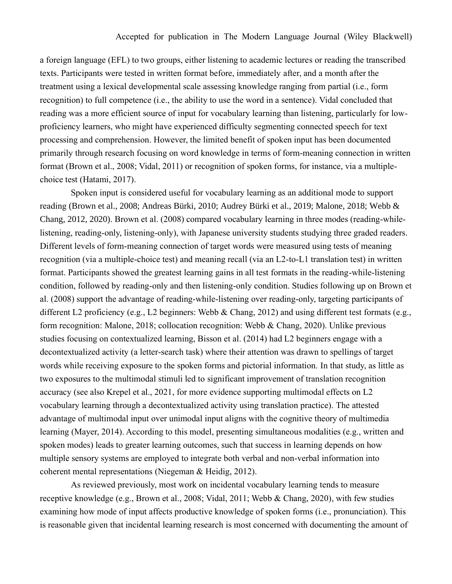a foreign language (EFL) to two groups, either listening to academic lectures or reading the transcribed texts. Participants were tested in written format before, immediately after, and a month after the treatment using a lexical developmental scale assessing knowledge ranging from partial (i.e., form recognition) to full competence (i.e., the ability to use the word in a sentence). Vidal concluded that reading was a more efficient source of input for vocabulary learning than listening, particularly for lowproficiency learners, who might have experienced difficulty segmenting connected speech for text processing and comprehension. However, the limited benefit of spoken input has been documented primarily through research focusing on word knowledge in terms of form-meaning connection in written format (Brown et al., 2008; Vidal, 2011) or recognition of spoken forms, for instance, via a multiplechoice test (Hatami, 2017).

Spoken input is considered useful for vocabulary learning as an additional mode to support reading (Brown et al., 2008; Andreas Bürki, 2010; Audrey Bürki et al., 2019; Malone, 2018; Webb & Chang, 2012, 2020). Brown et al. (2008) compared vocabulary learning in three modes (reading-whilelistening, reading-only, listening-only), with Japanese university students studying three graded readers. Different levels of form-meaning connection of target words were measured using tests of meaning recognition (via a multiple-choice test) and meaning recall (via an L2-to-L1 translation test) in written format. Participants showed the greatest learning gains in all test formats in the reading-while-listening condition, followed by reading-only and then listening-only condition. Studies following up on Brown et al. (2008) support the advantage of reading-while-listening over reading-only, targeting participants of different L2 proficiency (e.g., L2 beginners: Webb & Chang, 2012) and using different test formats (e.g., form recognition: Malone, 2018; collocation recognition: Webb & Chang, 2020). Unlike previous studies focusing on contextualized learning, Bisson et al. (2014) had L2 beginners engage with a decontextualized activity (a letter-search task) where their attention was drawn to spellings of target words while receiving exposure to the spoken forms and pictorial information. In that study, as little as two exposures to the multimodal stimuli led to significant improvement of translation recognition accuracy (see also Krepel et al., 2021, for more evidence supporting multimodal effects on L2 vocabulary learning through a decontextualized activity using translation practice). The attested advantage of multimodal input over unimodal input aligns with the cognitive theory of multimedia learning (Mayer, 2014). According to this model, presenting simultaneous modalities (e.g., written and spoken modes) leads to greater learning outcomes, such that success in learning depends on how multiple sensory systems are employed to integrate both verbal and non-verbal information into coherent mental representations (Niegeman & Heidig, 2012).

As reviewed previously, most work on incidental vocabulary learning tends to measure receptive knowledge (e.g., Brown et al., 2008; Vidal, 2011; Webb & Chang, 2020), with few studies examining how mode of input affects productive knowledge of spoken forms (i.e., pronunciation). This is reasonable given that incidental learning research is most concerned with documenting the amount of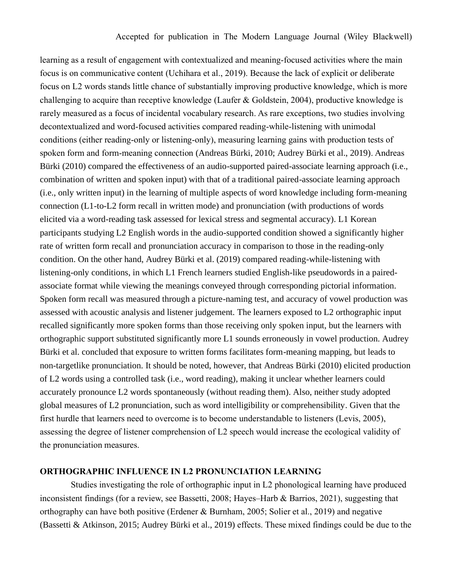learning as a result of engagement with contextualized and meaning-focused activities where the main focus is on communicative content (Uchihara et al., 2019). Because the lack of explicit or deliberate focus on L2 words stands little chance of substantially improving productive knowledge, which is more challenging to acquire than receptive knowledge (Laufer & Goldstein, 2004), productive knowledge is rarely measured as a focus of incidental vocabulary research. As rare exceptions, two studies involving decontextualized and word-focused activities compared reading-while-listening with unimodal conditions (either reading-only or listening-only), measuring learning gains with production tests of spoken form and form-meaning connection (Andreas Bürki, 2010; Audrey Bürki et al., 2019). Andreas Bürki (2010) compared the effectiveness of an audio-supported paired-associate learning approach (i.e., combination of written and spoken input) with that of a traditional paired-associate learning approach (i.e., only written input) in the learning of multiple aspects of word knowledge including form-meaning connection (L1-to-L2 form recall in written mode) and pronunciation (with productions of words elicited via a word-reading task assessed for lexical stress and segmental accuracy). L1 Korean participants studying L2 English words in the audio-supported condition showed a significantly higher rate of written form recall and pronunciation accuracy in comparison to those in the reading-only condition. On the other hand, Audrey Bürki et al. (2019) compared reading-while-listening with listening-only conditions, in which L1 French learners studied English-like pseudowords in a pairedassociate format while viewing the meanings conveyed through corresponding pictorial information. Spoken form recall was measured through a picture-naming test, and accuracy of vowel production was assessed with acoustic analysis and listener judgement. The learners exposed to L2 orthographic input recalled significantly more spoken forms than those receiving only spoken input, but the learners with orthographic support substituted significantly more L1 sounds erroneously in vowel production. Audrey Bürki et al. concluded that exposure to written forms facilitates form-meaning mapping, but leads to non-targetlike pronunciation. It should be noted, however, that Andreas Bürki (2010) elicited production of L2 words using a controlled task (i.e., word reading), making it unclear whether learners could accurately pronounce L2 words spontaneously (without reading them). Also, neither study adopted global measures of L2 pronunciation, such as word intelligibility or comprehensibility. Given that the first hurdle that learners need to overcome is to become understandable to listeners (Levis, 2005), assessing the degree of listener comprehension of L2 speech would increase the ecological validity of the pronunciation measures.

## **ORTHOGRAPHIC INFLUENCE IN L2 PRONUNCIATION LEARNING**

Studies investigating the role of orthographic input in L2 phonological learning have produced inconsistent findings (for a review, see Bassetti, 2008; Hayes–Harb & Barrios, 2021), suggesting that orthography can have both positive (Erdener & Burnham, 2005; Solier et al., 2019) and negative (Bassetti & Atkinson, 2015; Audrey Bürki et al., 2019) effects. These mixed findings could be due to the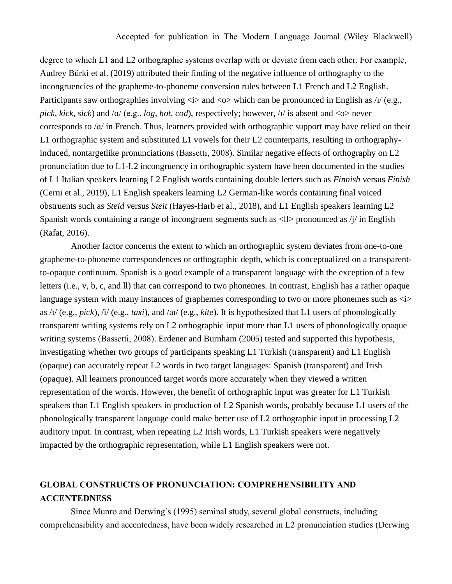degree to which L1 and L2 orthographic systems overlap with or deviate from each other. For example, Audrey Bürki et al. (2019) attributed their finding of the negative influence of orthography to the incongruencies of the grapheme-to-phoneme conversion rules between L1 French and L2 English. Participants saw orthographies involving  $\langle i \rangle$  and  $\langle o \rangle$  which can be pronounced in English as / $\nu$  (e.g., *pick*, *kick*, *sick*) and /ɑ/ (e.g., *log*, *hot*, *cod*), respectively; however, /ɪ/ is absent and <o> never corresponds to  $\alpha$  in French. Thus, learners provided with orthographic support may have relied on their L1 orthographic system and substituted L1 vowels for their L2 counterparts, resulting in orthographyinduced, nontargetlike pronunciations (Bassetti, 2008). Similar negative effects of orthography on L2 pronunciation due to L1-L2 incongruency in orthographic system have been documented in the studies of L1 Italian speakers learning L2 English words containing double letters such as *Finnish* versus *Finish* (Cerni et al., 2019), L1 English speakers learning L2 German-like words containing final voiced obstruents such as *Steid* versus *Steit* (Hayes-Harb et al., 2018), and L1 English speakers learning L2 Spanish words containing a range of incongruent segments such as  $\langle 1 \rangle$  pronounced as  $\langle i \rangle$  in English (Rafat, 2016).

Another factor concerns the extent to which an orthographic system deviates from one-to-one grapheme-to-phoneme correspondences or orthographic depth, which is conceptualized on a transparentto-opaque continuum. Spanish is a good example of a transparent language with the exception of a few letters (i.e., v, b, c, and ll) that can correspond to two phonemes. In contrast, English has a rather opaque language system with many instances of graphemes corresponding to two or more phonemes such as  $\langle i \rangle$ as /ɪ/ (e.g., *pick*), /i/ (e.g., *taxi*), and /aɪ/ (e.g., *kite*). It is hypothesized that L1 users of phonologically transparent writing systems rely on L2 orthographic input more than L1 users of phonologically opaque writing systems (Bassetti, 2008). Erdener and Burnham (2005) tested and supported this hypothesis, investigating whether two groups of participants speaking L1 Turkish (transparent) and L1 English (opaque) can accurately repeat L2 words in two target languages: Spanish (transparent) and Irish (opaque). All learners pronounced target words more accurately when they viewed a written representation of the words. However, the benefit of orthographic input was greater for L1 Turkish speakers than L1 English speakers in production of L2 Spanish words, probably because L1 users of the phonologically transparent language could make better use of L2 orthographic input in processing L2 auditory input. In contrast, when repeating L2 Irish words, L1 Turkish speakers were negatively impacted by the orthographic representation, while L1 English speakers were not.

# **GLOBAL CONSTRUCTS OF PRONUNCIATION: COMPREHENSIBILITY AND ACCENTEDNESS**

Since Munro and Derwing's (1995) seminal study, several global constructs, including comprehensibility and accentedness, have been widely researched in L2 pronunciation studies (Derwing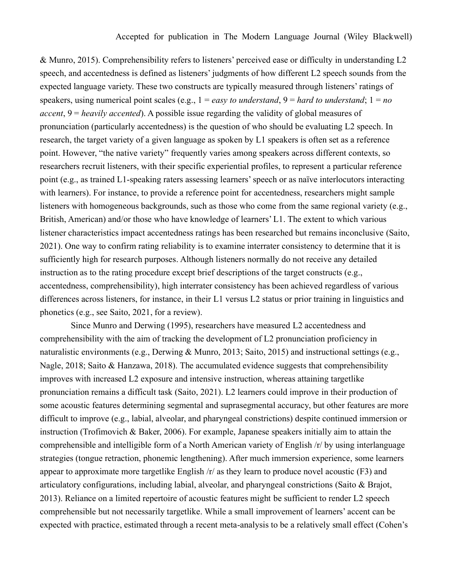& Munro, 2015). Comprehensibility refers to listeners' perceived ease or difficulty in understanding L2 speech, and accentedness is defined as listeners' judgments of how different L2 speech sounds from the expected language variety. These two constructs are typically measured through listeners' ratings of speakers, using numerical point scales (e.g., 1 = *easy to understand*, 9 = *hard to understand*; 1 = *no accent*, 9 = *heavily accented*). A possible issue regarding the validity of global measures of pronunciation (particularly accentedness) is the question of who should be evaluating L2 speech. In research, the target variety of a given language as spoken by L1 speakers is often set as a reference point. However, "the native variety" frequently varies among speakers across different contexts, so researchers recruit listeners, with their specific experiential profiles, to represent a particular reference point (e.g., as trained L1-speaking raters assessing learners' speech or as naïve interlocutors interacting with learners). For instance, to provide a reference point for accentedness, researchers might sample listeners with homogeneous backgrounds, such as those who come from the same regional variety (e.g., British, American) and/or those who have knowledge of learners' L1. The extent to which various listener characteristics impact accentedness ratings has been researched but remains inconclusive (Saito, 2021). One way to confirm rating reliability is to examine interrater consistency to determine that it is sufficiently high for research purposes. Although listeners normally do not receive any detailed instruction as to the rating procedure except brief descriptions of the target constructs (e.g., accentedness, comprehensibility), high interrater consistency has been achieved regardless of various differences across listeners, for instance, in their L1 versus L2 status or prior training in linguistics and phonetics (e.g., see Saito, 2021, for a review).

Since Munro and Derwing (1995), researchers have measured L2 accentedness and comprehensibility with the aim of tracking the development of L2 pronunciation proficiency in naturalistic environments (e.g., Derwing & Munro, 2013; Saito, 2015) and instructional settings (e.g., Nagle, 2018; Saito & Hanzawa, 2018). The accumulated evidence suggests that comprehensibility improves with increased L2 exposure and intensive instruction, whereas attaining targetlike pronunciation remains a difficult task (Saito, 2021). L2 learners could improve in their production of some acoustic features determining segmental and suprasegmental accuracy, but other features are more difficult to improve (e.g., labial, alveolar, and pharyngeal constrictions) despite continued immersion or instruction (Trofimovich & Baker, 2006). For example, Japanese speakers initially aim to attain the comprehensible and intelligible form of a North American variety of English /r/ by using interlanguage strategies (tongue retraction, phonemic lengthening). After much immersion experience, some learners appear to approximate more targetlike English /r/ as they learn to produce novel acoustic (F3) and articulatory configurations, including labial, alveolar, and pharyngeal constrictions (Saito & Brajot, 2013). Reliance on a limited repertoire of acoustic features might be sufficient to render L2 speech comprehensible but not necessarily targetlike. While a small improvement of learners' accent can be expected with practice, estimated through a recent meta-analysis to be a relatively small effect (Cohen's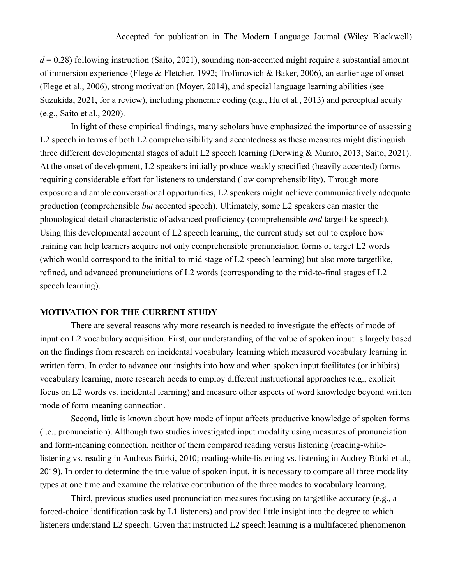$d = 0.28$ ) following instruction (Saito, 2021), sounding non-accented might require a substantial amount of immersion experience (Flege & Fletcher, 1992; Trofimovich & Baker, 2006), an earlier age of onset (Flege et al., 2006), strong motivation (Moyer, 2014), and special language learning abilities (see Suzukida, 2021, for a review), including phonemic coding (e.g., Hu et al., 2013) and perceptual acuity (e.g., Saito et al., 2020).

In light of these empirical findings, many scholars have emphasized the importance of assessing L2 speech in terms of both L2 comprehensibility and accentedness as these measures might distinguish three different developmental stages of adult L2 speech learning (Derwing & Munro, 2013; Saito, 2021). At the onset of development, L2 speakers initially produce weakly specified (heavily accented) forms requiring considerable effort for listeners to understand (low comprehensibility). Through more exposure and ample conversational opportunities, L2 speakers might achieve communicatively adequate production (comprehensible *but* accented speech). Ultimately, some L2 speakers can master the phonological detail characteristic of advanced proficiency (comprehensible *and* targetlike speech). Using this developmental account of L2 speech learning, the current study set out to explore how training can help learners acquire not only comprehensible pronunciation forms of target L2 words (which would correspond to the initial-to-mid stage of L2 speech learning) but also more targetlike, refined, and advanced pronunciations of L2 words (corresponding to the mid-to-final stages of L2 speech learning).

### **MOTIVATION FOR THE CURRENT STUDY**

There are several reasons why more research is needed to investigate the effects of mode of input on L2 vocabulary acquisition. First, our understanding of the value of spoken input is largely based on the findings from research on incidental vocabulary learning which measured vocabulary learning in written form. In order to advance our insights into how and when spoken input facilitates (or inhibits) vocabulary learning, more research needs to employ different instructional approaches (e.g., explicit focus on L2 words vs. incidental learning) and measure other aspects of word knowledge beyond written mode of form-meaning connection.

Second, little is known about how mode of input affects productive knowledge of spoken forms (i.e., pronunciation). Although two studies investigated input modality using measures of pronunciation and form-meaning connection, neither of them compared reading versus listening (reading-whilelistening vs. reading in Andreas Bürki, 2010; reading-while-listening vs. listening in Audrey Bürki et al., 2019). In order to determine the true value of spoken input, it is necessary to compare all three modality types at one time and examine the relative contribution of the three modes to vocabulary learning.

Third, previous studies used pronunciation measures focusing on targetlike accuracy (e.g., a forced-choice identification task by L1 listeners) and provided little insight into the degree to which listeners understand L2 speech. Given that instructed L2 speech learning is a multifaceted phenomenon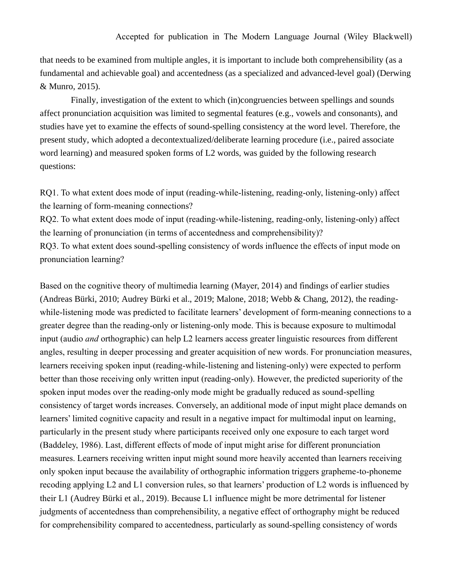that needs to be examined from multiple angles, it is important to include both comprehensibility (as a fundamental and achievable goal) and accentedness (as a specialized and advanced-level goal) (Derwing & Munro, 2015).

Finally, investigation of the extent to which (in)congruencies between spellings and sounds affect pronunciation acquisition was limited to segmental features (e.g., vowels and consonants), and studies have yet to examine the effects of sound-spelling consistency at the word level. Therefore, the present study, which adopted a decontextualized/deliberate learning procedure (i.e., paired associate word learning) and measured spoken forms of L2 words, was guided by the following research questions:

RQ1. To what extent does mode of input (reading-while-listening, reading-only, listening-only) affect the learning of form-meaning connections?

RQ2. To what extent does mode of input (reading-while-listening, reading-only, listening-only) affect the learning of pronunciation (in terms of accentedness and comprehensibility)? RQ3. To what extent does sound-spelling consistency of words influence the effects of input mode on

pronunciation learning?

Based on the cognitive theory of multimedia learning (Mayer, 2014) and findings of earlier studies (Andreas Bürki, 2010; Audrey Bürki et al., 2019; Malone, 2018; Webb & Chang, 2012), the readingwhile-listening mode was predicted to facilitate learners' development of form-meaning connections to a greater degree than the reading-only or listening-only mode. This is because exposure to multimodal input (audio *and* orthographic) can help L2 learners access greater linguistic resources from different angles, resulting in deeper processing and greater acquisition of new words. For pronunciation measures, learners receiving spoken input (reading-while-listening and listening-only) were expected to perform better than those receiving only written input (reading-only). However, the predicted superiority of the spoken input modes over the reading-only mode might be gradually reduced as sound-spelling consistency of target words increases. Conversely, an additional mode of input might place demands on learners' limited cognitive capacity and result in a negative impact for multimodal input on learning, particularly in the present study where participants received only one exposure to each target word (Baddeley, 1986). Last, different effects of mode of input might arise for different pronunciation measures. Learners receiving written input might sound more heavily accented than learners receiving only spoken input because the availability of orthographic information triggers grapheme-to-phoneme recoding applying L2 and L1 conversion rules, so that learners' production of L2 words is influenced by their L1 (Audrey Bürki et al., 2019). Because L1 influence might be more detrimental for listener judgments of accentedness than comprehensibility, a negative effect of orthography might be reduced for comprehensibility compared to accentedness, particularly as sound-spelling consistency of words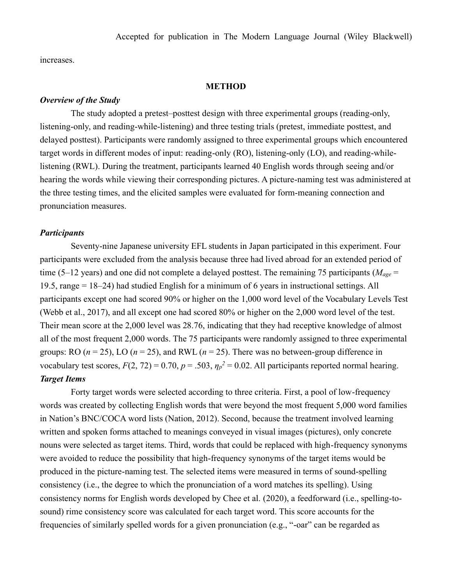increases.

#### **METHOD**

#### *Overview of the Study*

The study adopted a pretest–posttest design with three experimental groups (reading-only, listening-only, and reading-while-listening) and three testing trials (pretest, immediate posttest, and delayed posttest). Participants were randomly assigned to three experimental groups which encountered target words in different modes of input: reading-only (RO), listening-only (LO), and reading-whilelistening (RWL). During the treatment, participants learned 40 English words through seeing and/or hearing the words while viewing their corresponding pictures. A picture-naming test was administered at the three testing times, and the elicited samples were evaluated for form-meaning connection and pronunciation measures.

#### *Participants*

Seventy-nine Japanese university EFL students in Japan participated in this experiment. Four participants were excluded from the analysis because three had lived abroad for an extended period of time (5–12 years) and one did not complete a delayed posttest. The remaining 75 participants (*Mage* = 19.5, range = 18–24) had studied English for a minimum of 6 years in instructional settings. All participants except one had scored 90% or higher on the 1,000 word level of the Vocabulary Levels Test (Webb et al., 2017), and all except one had scored 80% or higher on the 2,000 word level of the test. Their mean score at the 2,000 level was 28.76, indicating that they had receptive knowledge of almost all of the most frequent 2,000 words. The 75 participants were randomly assigned to three experimental groups: RO ( $n = 25$ ), LO ( $n = 25$ ), and RWL ( $n = 25$ ). There was no between-group difference in vocabulary test scores,  $F(2, 72) = 0.70$ ,  $p = .503$ ,  $\eta_p^2 = 0.02$ . All participants reported normal hearing. *Target Items*

Forty target words were selected according to three criteria. First, a pool of low-frequency words was created by collecting English words that were beyond the most frequent 5,000 word families in Nation's BNC/COCA word lists (Nation, 2012). Second, because the treatment involved learning written and spoken forms attached to meanings conveyed in visual images (pictures), only concrete nouns were selected as target items. Third, words that could be replaced with high-frequency synonyms were avoided to reduce the possibility that high-frequency synonyms of the target items would be produced in the picture-naming test. The selected items were measured in terms of sound-spelling consistency (i.e., the degree to which the pronunciation of a word matches its spelling). Using consistency norms for English words developed by Chee et al. (2020), a feedforward (i.e., spelling-tosound) rime consistency score was calculated for each target word. This score accounts for the frequencies of similarly spelled words for a given pronunciation (e.g., "-oar" can be regarded as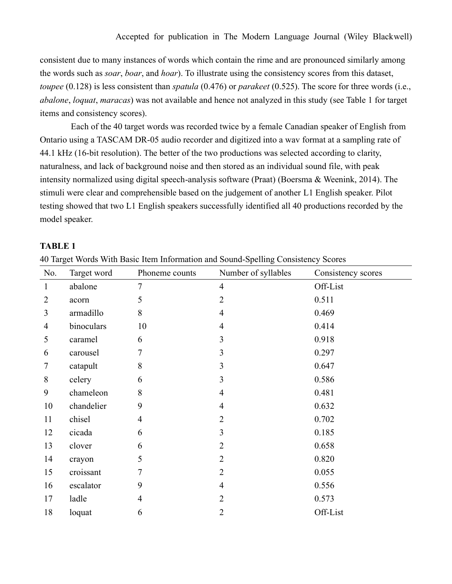consistent due to many instances of words which contain the rime and are pronounced similarly among the words such as *soar*, *boar*, and *hoar*). To illustrate using the consistency scores from this dataset, *toupee* (0.128) is less consistent than *spatula* (0.476) or *parakeet* (0.525). The score for three words (i.e., *abalone*, *loquat*, *maracas*) was not available and hence not analyzed in this study (see Table 1 for target items and consistency scores).

Each of the 40 target words was recorded twice by a female Canadian speaker of English from Ontario using a TASCAM DR-05 audio recorder and digitized into a wav format at a sampling rate of 44.1 kHz (16-bit resolution). The better of the two productions was selected according to clarity, naturalness, and lack of background noise and then stored as an individual sound file, with peak intensity normalized using digital speech-analysis software (Praat) (Boersma & Weenink, 2014). The stimuli were clear and comprehensible based on the judgement of another L1 English speaker. Pilot testing showed that two L1 English speakers successfully identified all 40 productions recorded by the model speaker.

### **TABLE 1**

|  |  |  |  |  |  | 40 Target Words With Basic Item Information and Sound-Spelling Consistency Scores |  |
|--|--|--|--|--|--|-----------------------------------------------------------------------------------|--|
|  |  |  |  |  |  |                                                                                   |  |

| No.            | Target word | Phoneme counts | Number of syllables | Consistency scores |
|----------------|-------------|----------------|---------------------|--------------------|
| $\mathbf{1}$   | abalone     | $\tau$         | $\overline{4}$      | Off-List           |
| $\overline{2}$ | acorn       | 5              | $\overline{2}$      | 0.511              |
| 3              | armadillo   | 8              | $\overline{4}$      | 0.469              |
| $\overline{4}$ | binoculars  | 10             | $\overline{4}$      | 0.414              |
| 5              | caramel     | 6              | 3                   | 0.918              |
| 6              | carousel    | 7              | 3                   | 0.297              |
| $\overline{7}$ | catapult    | 8              | 3                   | 0.647              |
| 8              | celery      | 6              | 3                   | 0.586              |
| 9              | chameleon   | 8              | $\overline{4}$      | 0.481              |
| 10             | chandelier  | 9              | $\overline{4}$      | 0.632              |
| 11             | chisel      | $\overline{4}$ | $\overline{2}$      | 0.702              |
| 12             | cicada      | 6              | 3                   | 0.185              |
| 13             | clover      | 6              | $\overline{2}$      | 0.658              |
| 14             | crayon      | 5              | $\overline{2}$      | 0.820              |
| 15             | croissant   | 7              | $\overline{2}$      | 0.055              |
| 16             | escalator   | 9              | $\overline{4}$      | 0.556              |
| 17             | ladle       | $\overline{4}$ | $\overline{2}$      | 0.573              |
| 18             | loquat      | 6              | $\overline{2}$      | Off-List           |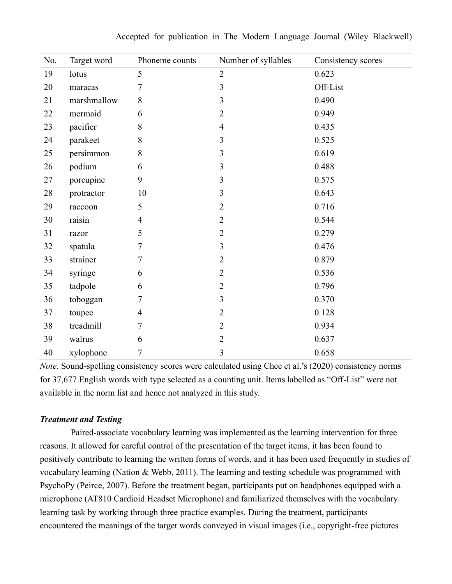| No. | Target word | Phoneme counts | Number of syllables     | Consistency scores |
|-----|-------------|----------------|-------------------------|--------------------|
| 19  | lotus       | 5              | $\overline{2}$          | 0.623              |
| 20  | maracas     | 7              | 3                       | Off-List           |
| 21  | marshmallow | $8\,$          | 3                       | 0.490              |
| 22  | mermaid     | 6              | $\overline{2}$          | 0.949              |
| 23  | pacifier    | $8\,$          | $\overline{4}$          | 0.435              |
| 24  | parakeet    | $\,8\,$        | 3                       | 0.525              |
| 25  | persimmon   | $8\,$          | $\overline{\mathbf{3}}$ | 0.619              |
| 26  | podium      | 6              | $\overline{\mathbf{3}}$ | 0.488              |
| 27  | porcupine   | 9              | 3                       | 0.575              |
| 28  | protractor  | 10             | 3                       | 0.643              |
| 29  | raccoon     | 5              | $\overline{2}$          | 0.716              |
| 30  | raisin      | $\overline{4}$ | $\overline{2}$          | 0.544              |
| 31  | razor       | 5              | $\overline{2}$          | 0.279              |
| 32  | spatula     | 7              | 3                       | 0.476              |
| 33  | strainer    | 7              | $\overline{2}$          | 0.879              |
| 34  | syringe     | 6              | $\overline{2}$          | 0.536              |
| 35  | tadpole     | 6              | $\sqrt{2}$              | 0.796              |
| 36  | toboggan    | 7              | 3                       | 0.370              |
| 37  | toupee      | $\overline{4}$ | $\overline{2}$          | 0.128              |
| 38  | treadmill   | 7              | $\overline{2}$          | 0.934              |
| 39  | walrus      | 6              | $\overline{2}$          | 0.637              |
| 40  | xylophone   | $\overline{7}$ | 3                       | 0.658              |

Accepted for publication in The Modern Language Journal (Wiley Blackwell)

*Note.* Sound-spelling consistency scores were calculated using Chee et al.'s (2020) consistency norms for 37,677 English words with type selected as a counting unit. Items labelled as "Off-List" were not available in the norm list and hence not analyzed in this study.

### *Treatment and Testing*

Paired-associate vocabulary learning was implemented as the learning intervention for three reasons. It allowed for careful control of the presentation of the target items, it has been found to positively contribute to learning the written forms of words, and it has been used frequently in studies of vocabulary learning (Nation & Webb, 2011). The learning and testing schedule was programmed with PsychoPy (Peirce, 2007). Before the treatment began, participants put on headphones equipped with a microphone (AT810 Cardioid Headset Microphone) and familiarized themselves with the vocabulary learning task by working through three practice examples. During the treatment, participants encountered the meanings of the target words conveyed in visual images (i.e., copyright-free pictures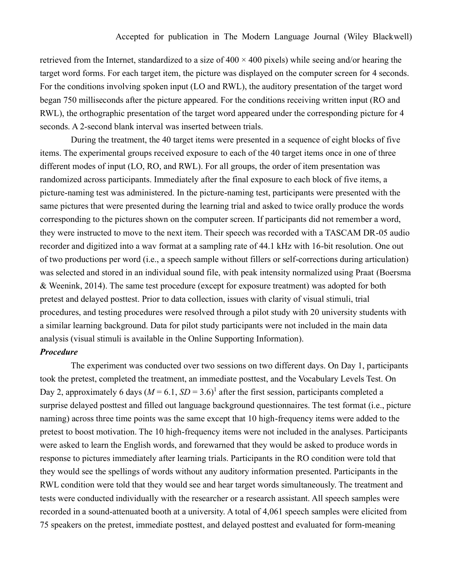retrieved from the Internet, standardized to a size of  $400 \times 400$  pixels) while seeing and/or hearing the target word forms. For each target item, the picture was displayed on the computer screen for 4 seconds. For the conditions involving spoken input (LO and RWL), the auditory presentation of the target word began 750 milliseconds after the picture appeared. For the conditions receiving written input (RO and RWL), the orthographic presentation of the target word appeared under the corresponding picture for 4 seconds. A 2-second blank interval was inserted between trials.

During the treatment, the 40 target items were presented in a sequence of eight blocks of five items. The experimental groups received exposure to each of the 40 target items once in one of three different modes of input (LO, RO, and RWL). For all groups, the order of item presentation was randomized across participants. Immediately after the final exposure to each block of five items, a picture-naming test was administered. In the picture-naming test, participants were presented with the same pictures that were presented during the learning trial and asked to twice orally produce the words corresponding to the pictures shown on the computer screen. If participants did not remember a word, they were instructed to move to the next item. Their speech was recorded with a TASCAM DR-05 audio recorder and digitized into a wav format at a sampling rate of 44.1 kHz with 16-bit resolution. One out of two productions per word (i.e., a speech sample without fillers or self-corrections during articulation) was selected and stored in an individual sound file, with peak intensity normalized using Praat (Boersma & Weenink, 2014). The same test procedure (except for exposure treatment) was adopted for both pretest and delayed posttest. Prior to data collection, issues with clarity of visual stimuli, trial procedures, and testing procedures were resolved through a pilot study with 20 university students with a similar learning background. Data for pilot study participants were not included in the main data analysis (visual stimuli is available in the Online Supporting Information).

#### *Procedure*

The experiment was conducted over two sessions on two different days. On Day 1, participants took the pretest, completed the treatment, an immediate posttest, and the Vocabulary Levels Test. On Day 2, approximately 6 days  $(M = 6.1, SD = 3.6)^1$  after the first session, participants completed a surprise delayed posttest and filled out language background questionnaires. The test format (i.e., picture naming) across three time points was the same except that 10 high-frequency items were added to the pretest to boost motivation. The 10 high-frequency items were not included in the analyses. Participants were asked to learn the English words, and forewarned that they would be asked to produce words in response to pictures immediately after learning trials. Participants in the RO condition were told that they would see the spellings of words without any auditory information presented. Participants in the RWL condition were told that they would see and hear target words simultaneously. The treatment and tests were conducted individually with the researcher or a research assistant. All speech samples were recorded in a sound-attenuated booth at a university. A total of 4,061 speech samples were elicited from 75 speakers on the pretest, immediate posttest, and delayed posttest and evaluated for form-meaning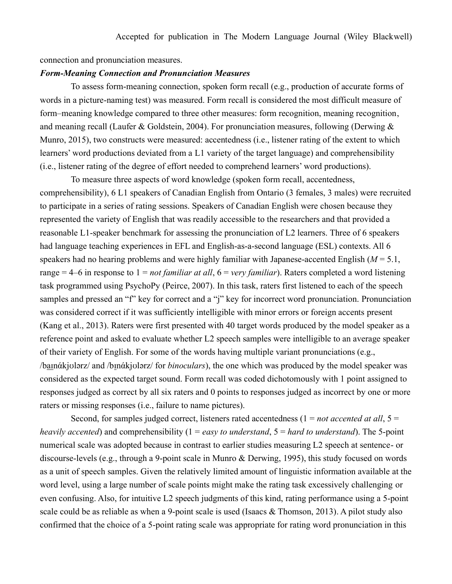connection and pronunciation measures.

#### *Form-Meaning Connection and Pronunciation Measures*

To assess form-meaning connection, spoken form recall (e.g., production of accurate forms of words in a picture-naming test) was measured. Form recall is considered the most difficult measure of form–meaning knowledge compared to three other measures: form recognition, meaning recognition, and meaning recall (Laufer & Goldstein, 2004). For pronunciation measures, following (Derwing  $\&$ Munro, 2015), two constructs were measured: accentedness (i.e., listener rating of the extent to which learners' word productions deviated from a L1 variety of the target language) and comprehensibility (i.e., listener rating of the degree of effort needed to comprehend learners' word productions).

To measure three aspects of word knowledge (spoken form recall, accentedness, comprehensibility), 6 L1 speakers of Canadian English from Ontario (3 females, 3 males) were recruited to participate in a series of rating sessions. Speakers of Canadian English were chosen because they represented the variety of English that was readily accessible to the researchers and that provided a reasonable L1-speaker benchmark for assessing the pronunciation of L2 learners. Three of 6 speakers had language teaching experiences in EFL and English-as-a-second language (ESL) contexts. All 6 speakers had no hearing problems and were highly familiar with Japanese-accented English (*M* = 5.1, range = 4–6 in response to 1 = *not familiar at all*, 6 = *very familiar*). Raters completed a word listening task programmed using PsychoPy (Peirce, 2007). In this task, raters first listened to each of the speech samples and pressed an "f" key for correct and a "j" key for incorrect word pronunciation. Pronunciation was considered correct if it was sufficiently intelligible with minor errors or foreign accents present (Kang et al., 2013). Raters were first presented with 40 target words produced by the model speaker as a reference point and asked to evaluate whether L2 speech samples were intelligible to an average speaker of their variety of English. For some of the words having multiple variant pronunciations (e.g., /baɪnάkjʊlərz/ and /bɪnάkjʊlərz/ for *binoculars*), the one which was produced by the model speaker was considered as the expected target sound. Form recall was coded dichotomously with 1 point assigned to responses judged as correct by all six raters and 0 points to responses judged as incorrect by one or more raters or missing responses (i.e., failure to name pictures).

Second, for samples judged correct, listeners rated accentedness (1 = *not accented at all*, 5 = *heavily accented*) and comprehensibility (1 = *easy to understand*, 5 = *hard to understand*). The 5-point numerical scale was adopted because in contrast to earlier studies measuring L2 speech at sentence- or discourse-levels (e.g., through a 9-point scale in Munro & Derwing, 1995), this study focused on words as a unit of speech samples. Given the relatively limited amount of linguistic information available at the word level, using a large number of scale points might make the rating task excessively challenging or even confusing. Also, for intuitive L2 speech judgments of this kind, rating performance using a 5-point scale could be as reliable as when a 9-point scale is used (Isaacs & Thomson, 2013). A pilot study also confirmed that the choice of a 5-point rating scale was appropriate for rating word pronunciation in this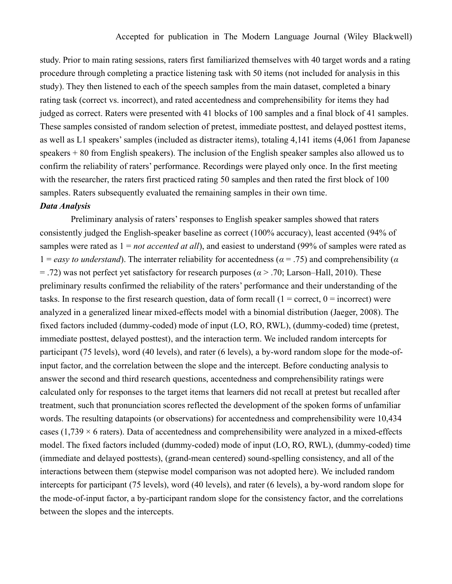study. Prior to main rating sessions, raters first familiarized themselves with 40 target words and a rating procedure through completing a practice listening task with 50 items (not included for analysis in this study). They then listened to each of the speech samples from the main dataset, completed a binary rating task (correct vs. incorrect), and rated accentedness and comprehensibility for items they had judged as correct. Raters were presented with 41 blocks of 100 samples and a final block of 41 samples. These samples consisted of random selection of pretest, immediate posttest, and delayed posttest items, as well as L1 speakers'samples (included as distracter items), totaling 4,141 items (4,061 from Japanese speakers + 80 from English speakers). The inclusion of the English speaker samples also allowed us to confirm the reliability of raters' performance. Recordings were played only once. In the first meeting with the researcher, the raters first practiced rating 50 samples and then rated the first block of 100 samples. Raters subsequently evaluated the remaining samples in their own time.

## *Data Analysis*

Preliminary analysis of raters' responses to English speaker samples showed that raters consistently judged the English-speaker baseline as correct (100% accuracy), least accented (94% of samples were rated as 1 = *not accented at all*), and easiest to understand (99% of samples were rated as 1 = *easy to understand*). The interrater reliability for accentedness (*α* = .75) and comprehensibility (*α*  $=$  .72) was not perfect yet satisfactory for research purposes ( $\alpha$  > .70; Larson–Hall, 2010). These preliminary results confirmed the reliability of the raters' performance and their understanding of the tasks. In response to the first research question, data of form recall  $(1 = correct, 0 = incorrect)$  were analyzed in a generalized linear mixed-effects model with a binomial distribution (Jaeger, 2008). The fixed factors included (dummy-coded) mode of input (LO, RO, RWL), (dummy-coded) time (pretest, immediate posttest, delayed posttest), and the interaction term. We included random intercepts for participant (75 levels), word (40 levels), and rater (6 levels), a by-word random slope for the mode-ofinput factor, and the correlation between the slope and the intercept. Before conducting analysis to answer the second and third research questions, accentedness and comprehensibility ratings were calculated only for responses to the target items that learners did not recall at pretest but recalled after treatment, such that pronunciation scores reflected the development of the spoken forms of unfamiliar words. The resulting datapoints (or observations) for accentedness and comprehensibility were 10,434 cases (1,739  $\times$  6 raters). Data of accentedness and comprehensibility were analyzed in a mixed-effects model. The fixed factors included (dummy-coded) mode of input (LO, RO, RWL), (dummy-coded) time (immediate and delayed posttests), (grand-mean centered) sound-spelling consistency, and all of the interactions between them (stepwise model comparison was not adopted here). We included random intercepts for participant (75 levels), word (40 levels), and rater (6 levels), a by-word random slope for the mode-of-input factor, a by-participant random slope for the consistency factor, and the correlations between the slopes and the intercepts.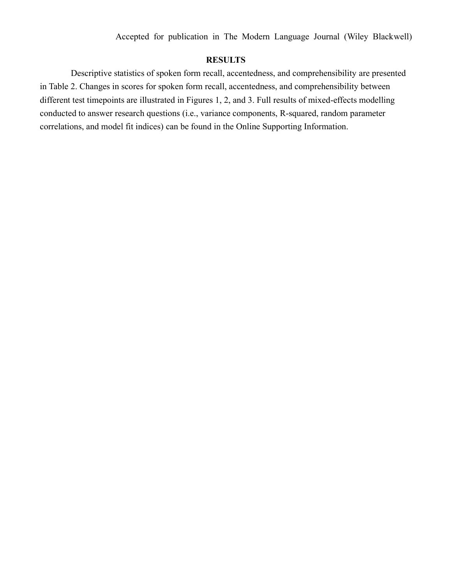Accepted for publication in The Modern Language Journal (Wiley Blackwell)

## **RESULTS**

Descriptive statistics of spoken form recall, accentedness, and comprehensibility are presented in Table 2. Changes in scores for spoken form recall, accentedness, and comprehensibility between different test timepoints are illustrated in Figures 1, 2, and 3. Full results of mixed-effects modelling conducted to answer research questions (i.e., variance components, R-squared, random parameter correlations, and model fit indices) can be found in the Online Supporting Information.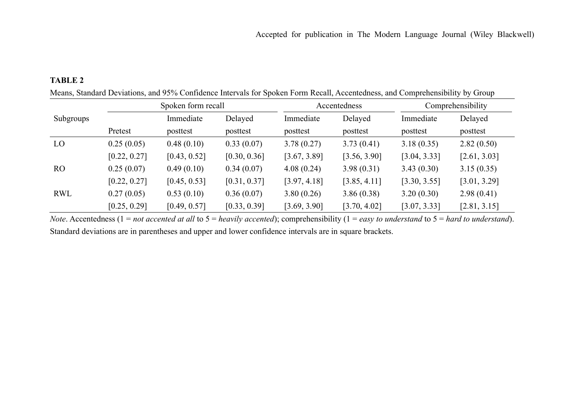## **TABLE 2**

|            |              | Spoken form recall |              |              | Accentedness | Comprehensibility |              |  |
|------------|--------------|--------------------|--------------|--------------|--------------|-------------------|--------------|--|
| Subgroups  |              | Immediate          | Delayed      | Immediate    | Delayed      | Immediate         | Delayed      |  |
|            | Pretest      | posttest           | posttest     | posttest     | posttest     | posttest          | posttest     |  |
| LO         | 0.25(0.05)   | 0.48(0.10)         | 0.33(0.07)   | 3.78(0.27)   | 3.73(0.41)   | 3.18(0.35)        | 2.82(0.50)   |  |
|            | [0.22, 0.27] | [0.43, 0.52]       | [0.30, 0.36] | [3.67, 3.89] | [3.56, 3.90] | [3.04, 3.33]      | [2.61, 3.03] |  |
| <b>RO</b>  | 0.25(0.07)   | 0.49(0.10)         | 0.34(0.07)   | 4.08(0.24)   | 3.98(0.31)   | 3.43(0.30)        | 3.15(0.35)   |  |
|            | [0.22, 0.27] | [0.45, 0.53]       | [0.31, 0.37] | [3.97, 4.18] | [3.85, 4.11] | [3.30, 3.55]      | [3.01, 3.29] |  |
| <b>RWL</b> | 0.27(0.05)   | 0.53(0.10)         | 0.36(0.07)   | 3.80(0.26)   | 3.86(0.38)   | 3.20(0.30)        | 2.98(0.41)   |  |
|            | [0.25, 0.29] | [0.49, 0.57]       | [0.33, 0.39] | [3.69, 3.90] | [3.70, 4.02] | [3.07, 3.33]      | [2.81, 3.15] |  |

Means, Standard Deviations, and 95% Confidence Intervals for Spoken Form Recall, Accentedness, and Comprehensibility by Group

*Note*. Accentedness (1 = *not accented at all* to 5 = *heavily accented*); comprehensibility (1 = *easy to understand* to 5 = *hard to understand*). Standard deviations are in parentheses and upper and lower confidence intervals are in square brackets.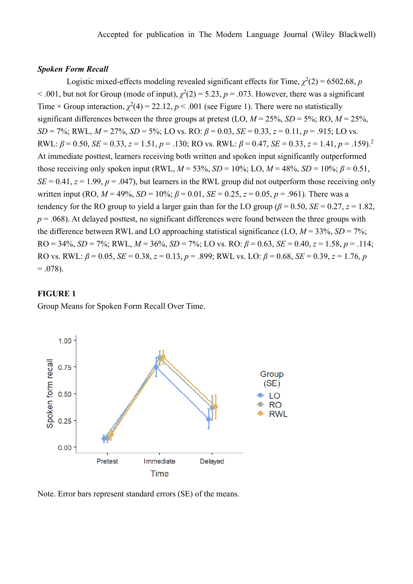#### *Spoken Form Recall*

Logistic mixed-effects modeling revealed significant effects for Time,  $\chi^2(2) = 6502.68$ , *p*  $<$  0.01, but not for Group (mode of input),  $\chi^2(2) = 5.23$ ,  $p = 0.073$ . However, there was a significant Time × Group interaction,  $\chi^2(4) = 22.12$ ,  $p < .001$  (see Figure 1). There were no statistically significant differences between the three groups at pretest (LO,  $M = 25\%$ ,  $SD = 5\%$ ; RO,  $M = 25\%$ , *SD* = 7%; RWL,  $M = 27\%$ ,  $SD = 5\%$ ; LO vs. RO:  $\beta = 0.03$ ,  $SE = 0.33$ ,  $z = 0.11$ ,  $p = .915$ ; LO vs. RWL:  $\beta = 0.50$ , *SE* = 0.33, *z* = 1.51, *p* = .130; RO vs. RWL:  $\beta = 0.47$ , *SE* = 0.33, *z* = 1.41, *p* = .159).<sup>2</sup> At immediate posttest, learners receiving both written and spoken input significantly outperformed those receiving only spoken input (RWL,  $M = 53\%$ ,  $SD = 10\%$ ; LO,  $M = 48\%$ ,  $SD = 10\%$ ;  $\beta = 0.51$ ,  $SE = 0.41$ ,  $z = 1.99$ ,  $p = .047$ ), but learners in the RWL group did not outperform those receiving only written input (RO,  $M = 49\%$ ,  $SD = 10\%$ ;  $\beta = 0.01$ ,  $SE = 0.25$ ,  $z = 0.05$ ,  $p = .961$ ). There was a tendency for the RO group to yield a larger gain than for the LO group ( $\beta$  = 0.50, *SE* = 0.27, *z* = 1.82,  $p = 0.068$ ). At delayed posttest, no significant differences were found between the three groups with the difference between RWL and LO approaching statistical significance (LO,  $M = 33\%$ ,  $SD = 7\%$ ; RO = 34%, *SD* = 7%; RWL,  $M = 36\%$ ,  $SD = 7\%$ ; LO vs. RO:  $\beta = 0.63$ ,  $SE = 0.40$ ,  $z = 1.58$ ,  $p = .114$ ; RO vs. RWL: *β* = 0.05, *SE* = 0.38, *z* = 0.13, *p* = .899; RWL vs. LO: *β* = 0.68, *SE* = 0.39, *z* = 1.76, *p*  $= .078$ ).

## **FIGURE 1**

Group Means for Spoken Form Recall Over Time.



Note. Error bars represent standard errors (SE) of the means.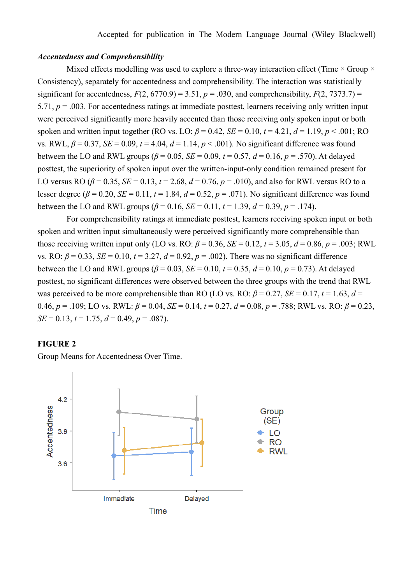### *Accentedness and Comprehensibility*

Mixed effects modelling was used to explore a three-way interaction effect (Time  $\times$  Group  $\times$ Consistency), separately for accentedness and comprehensibility. The interaction was statistically significant for accentedness,  $F(2, 6770.9) = 3.51$ ,  $p = .030$ , and comprehensibility,  $F(2, 7373.7) =$ 5.71, *p* = .003. For accentedness ratings at immediate posttest, learners receiving only written input were perceived significantly more heavily accented than those receiving only spoken input or both spoken and written input together (RO vs. LO:  $\beta = 0.42$ ,  $SE = 0.10$ ,  $t = 4.21$ ,  $d = 1.19$ ,  $p < .001$ ; RO vs. RWL,  $\beta = 0.37$ ,  $SE = 0.09$ ,  $t = 4.04$ ,  $d = 1.14$ ,  $p < .001$ ). No significant difference was found between the LO and RWL groups ( $\beta$  = 0.05, *SE* = 0.09,  $t$  = 0.57,  $d$  = 0.16,  $p$  = .570). At delayed posttest, the superiority of spoken input over the written-input-only condition remained present for LO versus RO ( $\beta$  = 0.35, *SE* = 0.13,  $t$  = 2.68,  $d$  = 0.76,  $p$  = .010), and also for RWL versus RO to a lesser degree ( $\beta$  = 0.20, *SE* = 0.11,  $t$  = 1.84,  $d$  = 0.52,  $p$  = .071). No significant difference was found between the LO and RWL groups  $(\beta = 0.16, SE = 0.11, t = 1.39, d = 0.39, p = .174)$ .

For comprehensibility ratings at immediate posttest, learners receiving spoken input or both spoken and written input simultaneously were perceived significantly more comprehensible than those receiving written input only (LO vs. RO:  $\beta = 0.36$ ,  $SE = 0.12$ ,  $t = 3.05$ ,  $d = 0.86$ ,  $p = .003$ ; RWL vs. RO:  $\beta = 0.33$ ,  $SE = 0.10$ ,  $t = 3.27$ ,  $d = 0.92$ ,  $p = .002$ ). There was no significant difference between the LO and RWL groups (*β* = 0.03, *SE* = 0.10, *t* = 0.35, *d* = 0.10, *p* = 0.73). At delayed posttest, no significant differences were observed between the three groups with the trend that RWL was perceived to be more comprehensible than RO (LO vs. RO:  $\beta = 0.27$ ,  $SE = 0.17$ ,  $t = 1.63$ ,  $d =$ 0.46,  $p = .109$ ; LO vs. RWL:  $β = 0.04$ ,  $SE = 0.14$ ,  $t = 0.27$ ,  $d = 0.08$ ,  $p = .788$ ; RWL vs. RO:  $β = 0.23$ ,  $SE = 0.13$ ,  $t = 1.75$ ,  $d = 0.49$ ,  $p = .087$ ).

## **FIGURE 2**

Group Means for Accentedness Over Time.

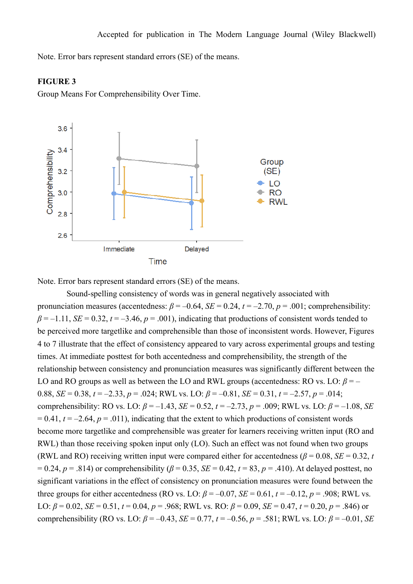Note. Error bars represent standard errors (SE) of the means.

## **FIGURE 3**

Group Means For Comprehensibility Over Time.



Note. Error bars represent standard errors (SE) of the means.

Sound-spelling consistency of words was in general negatively associated with pronunciation measures (accentedness:  $\beta = -0.64$ ,  $SE = 0.24$ ,  $t = -2.70$ ,  $p = .001$ ; comprehensibility:  $\beta = -1.11$ , *SE* = 0.32,  $t = -3.46$ ,  $p = .001$ ), indicating that productions of consistent words tended to be perceived more targetlike and comprehensible than those of inconsistent words. However, Figures 4 to 7 illustrate that the effect of consistency appeared to vary across experimental groups and testing times. At immediate posttest for both accentedness and comprehensibility, the strength of the relationship between consistency and pronunciation measures was significantly different between the LO and RO groups as well as between the LO and RWL groups (accentedness: RO vs. LO:  $\beta$  = – 0.88, *SE* = 0.38,  $t = -2.33$ ,  $p = .024$ ; RWL vs. LO:  $\beta = -0.81$ , *SE* = 0.31,  $t = -2.57$ ,  $p = .014$ ; comprehensibility: RO vs. LO:  $\beta = -1.43$ ,  $SE = 0.52$ ,  $t = -2.73$ ,  $p = .009$ ; RWL vs. LO:  $\beta = -1.08$ , *SE*  $= 0.41$ ,  $t = -2.64$ ,  $p = .011$ ), indicating that the extent to which productions of consistent words become more targetlike and comprehensible was greater for learners receiving written input (RO and RWL) than those receiving spoken input only (LO). Such an effect was not found when two groups (RWL and RO) receiving written input were compared either for accentedness ( $\beta$  = 0.08, *SE* = 0.32, *t*  $= 0.24, p = .814$ ) or comprehensibility ( $\beta = 0.35$ ,  $SE = 0.42$ ,  $t = 83$ ,  $p = .410$ ). At delayed posttest, no significant variations in the effect of consistency on pronunciation measures were found between the three groups for either accentedness (RO vs. LO:  $\beta = -0.07$ ,  $SE = 0.61$ ,  $t = -0.12$ ,  $p = .908$ ; RWL vs. LO:  $\beta = 0.02$ ,  $SE = 0.51$ ,  $t = 0.04$ ,  $p = .968$ ; RWL vs. RO:  $\beta = 0.09$ ,  $SE = 0.47$ ,  $t = 0.20$ ,  $p = .846$ ) or comprehensibility (RO vs. LO:  $β = -0.43$ ,  $SE = 0.77$ ,  $t = -0.56$ ,  $p = .581$ ; RWL vs. LO:  $β = -0.01$ , *SE*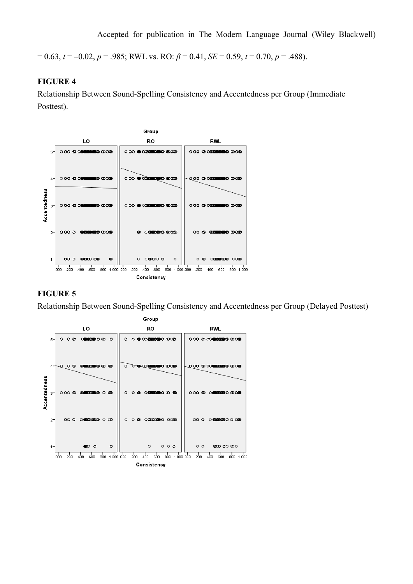$= 0.63$ ,  $t = -0.02$ ,  $p = .985$ ; RWL vs. RO:  $\beta = 0.41$ ,  $SE = 0.59$ ,  $t = 0.70$ ,  $p = .488$ ).

## **FIGURE 4**

Relationship Between Sound-Spelling Consistency and Accentedness per Group (Immediate Posttest).



## **FIGURE 5**

Relationship Between Sound-Spelling Consistency and Accentedness per Group (Delayed Posttest)

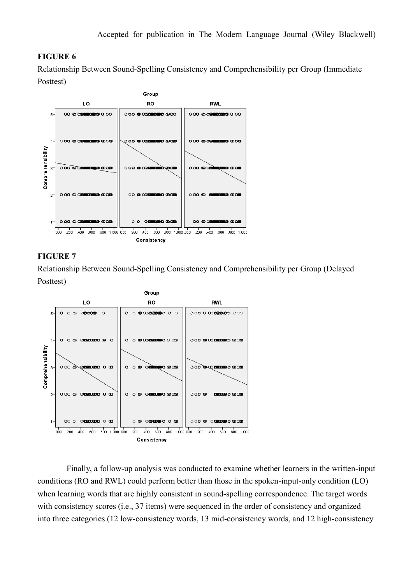## **FIGURE 6**

Relationship Between Sound-Spelling Consistency and Comprehensibility per Group (Immediate Posttest)



## **FIGURE 7**

Relationship Between Sound-Spelling Consistency and Comprehensibility per Group (Delayed Posttest)



Finally, a follow-up analysis was conducted to examine whether learners in the written-input conditions (RO and RWL) could perform better than those in the spoken-input-only condition (LO) when learning words that are highly consistent in sound-spelling correspondence. The target words with consistency scores (i.e., 37 items) were sequenced in the order of consistency and organized into three categories (12 low-consistency words, 13 mid-consistency words, and 12 high-consistency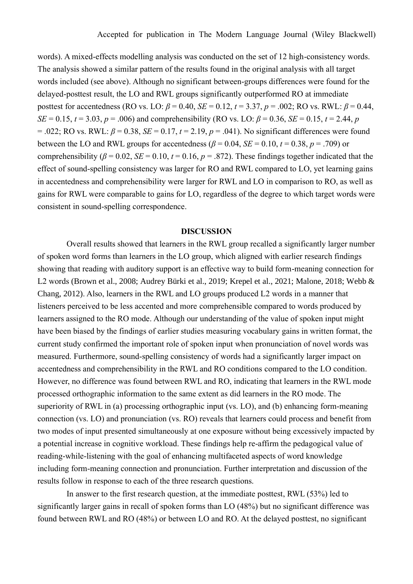words). A mixed-effects modelling analysis was conducted on the set of 12 high-consistency words. The analysis showed a similar pattern of the results found in the original analysis with all target words included (see above). Although no significant between-groups differences were found for the delayed-posttest result, the LO and RWL groups significantly outperformed RO at immediate posttest for accentedness (RO vs. LO:  $\beta$  = 0.40, *SE* = 0.12,  $t$  = 3.37,  $p$  = .002; RO vs. RWL:  $\beta$  = 0.44, *SE* = 0.15, *t* = 3.03, *p* = .006) and comprehensibility (RO vs. LO:  $\beta$  = 0.36, *SE* = 0.15, *t* = 2.44, *p* = .022; RO vs. RWL:  $\beta$  = 0.38, *SE* = 0.17,  $t$  = 2.19,  $p$  = .041). No significant differences were found between the LO and RWL groups for accentedness ( $\beta$  = 0.04, *SE* = 0.10, *t* = 0.38, *p* = .709) or comprehensibility ( $\beta$  = 0.02, *SE* = 0.10,  $t$  = 0.16,  $p$  = .872). These findings together indicated that the effect of sound-spelling consistency was larger for RO and RWL compared to LO, yet learning gains in accentedness and comprehensibility were larger for RWL and LO in comparison to RO, as well as gains for RWL were comparable to gains for LO, regardless of the degree to which target words were consistent in sound-spelling correspondence.

## **DISCUSSION**

Overall results showed that learners in the RWL group recalled a significantly larger number of spoken word forms than learners in the LO group, which aligned with earlier research findings showing that reading with auditory support is an effective way to build form-meaning connection for L2 words (Brown et al., 2008; Audrey Bürki et al., 2019; Krepel et al., 2021; Malone, 2018; Webb & Chang, 2012). Also, learners in the RWL and LO groups produced L2 words in a manner that listeners perceived to be less accented and more comprehensible compared to words produced by learners assigned to the RO mode. Although our understanding of the value of spoken input might have been biased by the findings of earlier studies measuring vocabulary gains in written format, the current study confirmed the important role of spoken input when pronunciation of novel words was measured. Furthermore, sound-spelling consistency of words had a significantly larger impact on accentedness and comprehensibility in the RWL and RO conditions compared to the LO condition. However, no difference was found between RWL and RO, indicating that learners in the RWL mode processed orthographic information to the same extent as did learners in the RO mode. The superiority of RWL in (a) processing orthographic input (vs. LO), and (b) enhancing form-meaning connection (vs. LO) and pronunciation (vs. RO) reveals that learners could process and benefit from two modes of input presented simultaneously at one exposure without being excessively impacted by a potential increase in cognitive workload. These findings help re-affirm the pedagogical value of reading-while-listening with the goal of enhancing multifaceted aspects of word knowledge including form-meaning connection and pronunciation. Further interpretation and discussion of the results follow in response to each of the three research questions.

In answer to the first research question, at the immediate posttest, RWL (53%) led to significantly larger gains in recall of spoken forms than LO (48%) but no significant difference was found between RWL and RO (48%) or between LO and RO. At the delayed posttest, no significant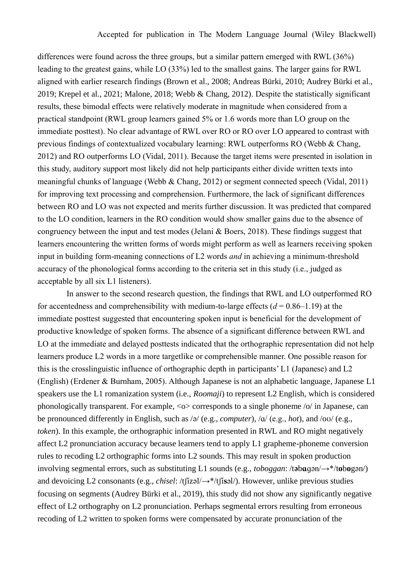differences were found across the three groups, but a similar pattern emerged with RWL (36%) leading to the greatest gains, while LO (33%) led to the smallest gains. The larger gains for RWL aligned with earlier research findings (Brown et al., 2008; Andreas Bürki, 2010; Audrey Bürki et al., 2019; Krepel et al., 2021; Malone, 2018; Webb & Chang, 2012). Despite the statistically significant results, these bimodal effects were relatively moderate in magnitude when considered from a practical standpoint (RWL group learners gained 5% or 1.6 words more than LO group on the immediate posttest). No clear advantage of RWL over RO or RO over LO appeared to contrast with previous findings of contextualized vocabulary learning: RWL outperforms RO (Webb & Chang, 2012) and RO outperforms LO (Vidal, 2011). Because the target items were presented in isolation in this study, auditory support most likely did not help participants either divide written texts into meaningful chunks of language (Webb & Chang, 2012) or segment connected speech (Vidal, 2011) for improving text processing and comprehension. Furthermore, the lack of significant differences between RO and LO was not expected and merits further discussion. It was predicted that compared to the LO condition, learners in the RO condition would show smaller gains due to the absence of congruency between the input and test modes (Jelani & Boers, 2018). These findings suggest that learners encountering the written forms of words might perform as well as learners receiving spoken input in building form-meaning connections of L2 words *and* in achieving a minimum-threshold accuracy of the phonological forms according to the criteria set in this study (i.e., judged as acceptable by all six L1 listeners).

In answer to the second research question, the findings that RWL and LO outperformed RO for accentedness and comprehensibility with medium-to-large effects  $(d = 0.86 - 1.19)$  at the immediate posttest suggested that encountering spoken input is beneficial for the development of productive knowledge of spoken forms. The absence of a significant difference between RWL and LO at the immediate and delayed posttests indicated that the orthographic representation did not help learners produce L2 words in a more targetlike or comprehensible manner. One possible reason for this is the crosslinguistic influence of orthographic depth in participants' L1 (Japanese) and L2 (English) (Erdener & Burnham, 2005). Although Japanese is not an alphabetic language, Japanese L1 speakers use the L1 romanization system (i.e., *Roomaji*) to represent L2 English, which is considered phonologically transparent. For example,  $\langle \circ \rangle$  corresponds to a single phoneme  $\langle \circ \rangle$  in Japanese, can be pronounced differently in English, such as /ə/ (e.g., *computer*), /ɑ/ (e.g., *hot*), and /oʊ/ (e.g., *token*). In this example, the orthographic information presented in RWL and RO might negatively affect L2 pronunciation accuracy because learners tend to apply L1 grapheme-phoneme conversion rules to recoding L2 orthographic forms into L2 sounds. This may result in spoken production involving segmental errors, such as substituting L1 sounds (e.g., *toboggan*: /t**ə**b**ɑ**ɡən/→\*/t**o**b**o**gən/) and devoicing L2 consonants (e.g., *chisel*: /tʃízəl/→\*/tʃí**s**əl/). However, unlike previous studies focusing on segments (Audrey Bürki et al., 2019), this study did not show any significantly negative effect of L2 orthography on L2 pronunciation. Perhaps segmental errors resulting from erroneous recoding of L2 written to spoken forms were compensated by accurate pronunciation of the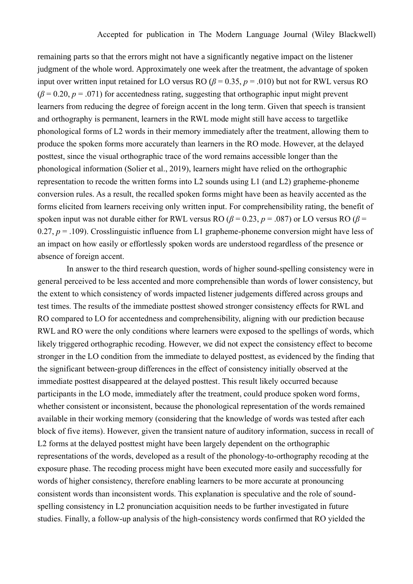remaining parts so that the errors might not have a significantly negative impact on the listener judgment of the whole word. Approximately one week after the treatment, the advantage of spoken input over written input retained for LO versus RO ( $\beta$  = 0.35,  $p$  = .010) but not for RWL versus RO  $(\beta = 0.20, p = .071)$  for accentedness rating, suggesting that orthographic input might prevent learners from reducing the degree of foreign accent in the long term. Given that speech is transient and orthography is permanent, learners in the RWL mode might still have access to targetlike phonological forms of L2 words in their memory immediately after the treatment, allowing them to produce the spoken forms more accurately than learners in the RO mode. However, at the delayed posttest, since the visual orthographic trace of the word remains accessible longer than the phonological information (Solier et al., 2019), learners might have relied on the orthographic representation to recode the written forms into L2 sounds using L1 (and L2) grapheme-phoneme conversion rules. As a result, the recalled spoken forms might have been as heavily accented as the forms elicited from learners receiving only written input. For comprehensibility rating, the benefit of spoken input was not durable either for RWL versus RO ( $\beta$  = 0.23, *p* = .087) or LO versus RO ( $\beta$  = 0.27,  $p = .109$ ). Crosslinguistic influence from L1 grapheme-phoneme conversion might have less of an impact on how easily or effortlessly spoken words are understood regardless of the presence or absence of foreign accent.

In answer to the third research question, words of higher sound-spelling consistency were in general perceived to be less accented and more comprehensible than words of lower consistency, but the extent to which consistency of words impacted listener judgements differed across groups and test times. The results of the immediate posttest showed stronger consistency effects for RWL and RO compared to LO for accentedness and comprehensibility, aligning with our prediction because RWL and RO were the only conditions where learners were exposed to the spellings of words, which likely triggered orthographic recoding. However, we did not expect the consistency effect to become stronger in the LO condition from the immediate to delayed posttest, as evidenced by the finding that the significant between-group differences in the effect of consistency initially observed at the immediate posttest disappeared at the delayed posttest. This result likely occurred because participants in the LO mode, immediately after the treatment, could produce spoken word forms, whether consistent or inconsistent, because the phonological representation of the words remained available in their working memory (considering that the knowledge of words was tested after each block of five items). However, given the transient nature of auditory information, success in recall of L2 forms at the delayed posttest might have been largely dependent on the orthographic representations of the words, developed as a result of the phonology-to-orthography recoding at the exposure phase. The recoding process might have been executed more easily and successfully for words of higher consistency, therefore enabling learners to be more accurate at pronouncing consistent words than inconsistent words. This explanation is speculative and the role of soundspelling consistency in L2 pronunciation acquisition needs to be further investigated in future studies. Finally, a follow-up analysis of the high-consistency words confirmed that RO yielded the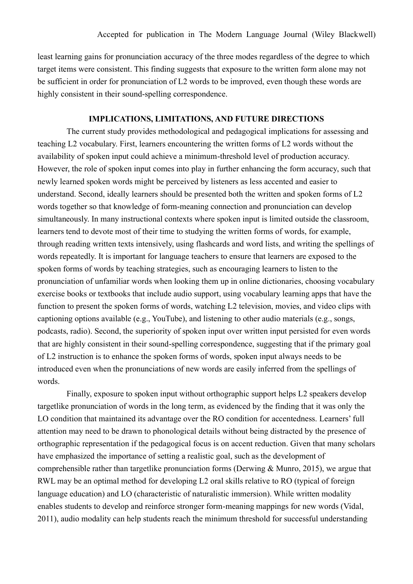least learning gains for pronunciation accuracy of the three modes regardless of the degree to which target items were consistent. This finding suggests that exposure to the written form alone may not be sufficient in order for pronunciation of L2 words to be improved, even though these words are highly consistent in their sound-spelling correspondence.

## **IMPLICATIONS, LIMITATIONS, AND FUTURE DIRECTIONS**

The current study provides methodological and pedagogical implications for assessing and teaching L2 vocabulary. First, learners encountering the written forms of L2 words without the availability of spoken input could achieve a minimum-threshold level of production accuracy. However, the role of spoken input comes into play in further enhancing the form accuracy, such that newly learned spoken words might be perceived by listeners as less accented and easier to understand. Second, ideally learners should be presented both the written and spoken forms of L2 words together so that knowledge of form-meaning connection and pronunciation can develop simultaneously. In many instructional contexts where spoken input is limited outside the classroom, learners tend to devote most of their time to studying the written forms of words, for example, through reading written texts intensively, using flashcards and word lists, and writing the spellings of words repeatedly. It is important for language teachers to ensure that learners are exposed to the spoken forms of words by teaching strategies, such as encouraging learners to listen to the pronunciation of unfamiliar words when looking them up in online dictionaries, choosing vocabulary exercise books or textbooks that include audio support, using vocabulary learning apps that have the function to present the spoken forms of words, watching L2 television, movies, and video clips with captioning options available (e.g., YouTube), and listening to other audio materials (e.g., songs, podcasts, radio). Second, the superiority of spoken input over written input persisted for even words that are highly consistent in their sound-spelling correspondence, suggesting that if the primary goal of L2 instruction is to enhance the spoken forms of words, spoken input always needs to be introduced even when the pronunciations of new words are easily inferred from the spellings of words.

Finally, exposure to spoken input without orthographic support helps L2 speakers develop targetlike pronunciation of words in the long term, as evidenced by the finding that it was only the LO condition that maintained its advantage over the RO condition for accentedness. Learners' full attention may need to be drawn to phonological details without being distracted by the presence of orthographic representation if the pedagogical focus is on accent reduction. Given that many scholars have emphasized the importance of setting a realistic goal, such as the development of comprehensible rather than targetlike pronunciation forms (Derwing & Munro, 2015), we argue that RWL may be an optimal method for developing L2 oral skills relative to RO (typical of foreign language education) and LO (characteristic of naturalistic immersion). While written modality enables students to develop and reinforce stronger form-meaning mappings for new words (Vidal, 2011), audio modality can help students reach the minimum threshold for successful understanding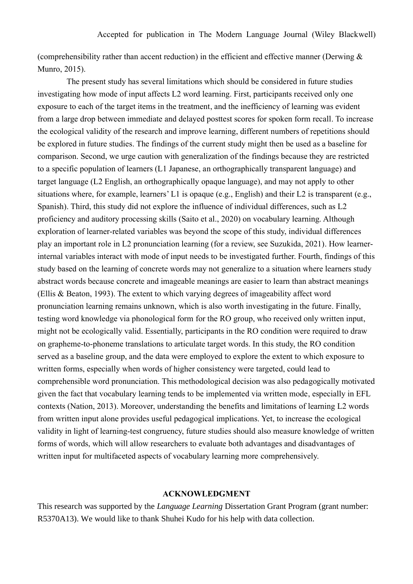(comprehensibility rather than accent reduction) in the efficient and effective manner (Derwing  $\&$ Munro, 2015).

The present study has several limitations which should be considered in future studies investigating how mode of input affects L2 word learning. First, participants received only one exposure to each of the target items in the treatment, and the inefficiency of learning was evident from a large drop between immediate and delayed posttest scores for spoken form recall. To increase the ecological validity of the research and improve learning, different numbers of repetitions should be explored in future studies. The findings of the current study might then be used as a baseline for comparison. Second, we urge caution with generalization of the findings because they are restricted to a specific population of learners (L1 Japanese, an orthographically transparent language) and target language (L2 English, an orthographically opaque language), and may not apply to other situations where, for example, learners' L1 is opaque (e.g., English) and their L2 is transparent (e.g., Spanish). Third, this study did not explore the influence of individual differences, such as L2 proficiency and auditory processing skills (Saito et al., 2020) on vocabulary learning. Although exploration of learner-related variables was beyond the scope of this study, individual differences play an important role in L2 pronunciation learning (for a review, see Suzukida, 2021). How learnerinternal variables interact with mode of input needs to be investigated further. Fourth, findings of this study based on the learning of concrete words may not generalize to a situation where learners study abstract words because concrete and imageable meanings are easier to learn than abstract meanings (Ellis & Beaton, 1993). The extent to which varying degrees of imageability affect word pronunciation learning remains unknown, which is also worth investigating in the future. Finally, testing word knowledge via phonological form for the RO group, who received only written input, might not be ecologically valid. Essentially, participants in the RO condition were required to draw on grapheme-to-phoneme translations to articulate target words. In this study, the RO condition served as a baseline group, and the data were employed to explore the extent to which exposure to written forms, especially when words of higher consistency were targeted, could lead to comprehensible word pronunciation. This methodological decision was also pedagogically motivated given the fact that vocabulary learning tends to be implemented via written mode, especially in EFL contexts (Nation, 2013). Moreover, understanding the benefits and limitations of learning L2 words from written input alone provides useful pedagogical implications. Yet, to increase the ecological validity in light of learning-test congruency, future studies should also measure knowledge of written forms of words, which will allow researchers to evaluate both advantages and disadvantages of written input for multifaceted aspects of vocabulary learning more comprehensively.

#### **ACKNOWLEDGMENT**

This research was supported by the *Language Learning* Dissertation Grant Program (grant number: R5370A13). We would like to thank Shuhei Kudo for his help with data collection.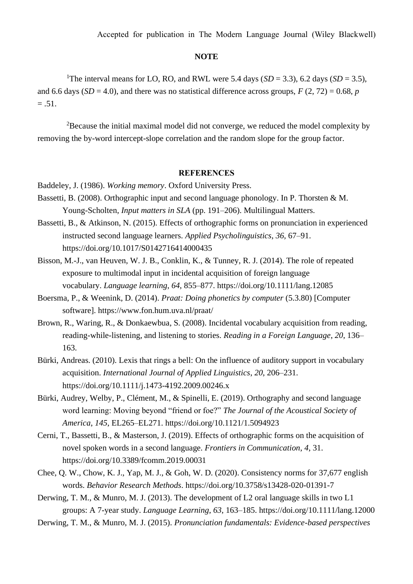#### **NOTE**

<sup>1</sup>The interval means for LO, RO, and RWL were 5.4 days (*SD* = 3.3), 6.2 days (*SD* = 3.5), and 6.6 days ( $SD = 4.0$ ), and there was no statistical difference across groups,  $F(2, 72) = 0.68$ , *p*  $= .51.$ 

 $2B$  Because the initial maximal model did not converge, we reduced the model complexity by removing the by-word intercept-slope correlation and the random slope for the group factor.

## **REFERENCES**

- Baddeley, J. (1986). *Working memory*. Oxford University Press.
- Bassetti, B. (2008). Orthographic input and second language phonology. In P. Thorsten & M. Young-Scholten, *Input matters in SLA* (pp. 191–206). Multilingual Matters.
- Bassetti, B., & Atkinson, N. (2015). Effects of orthographic forms on pronunciation in experienced instructed second language learners. *Applied Psycholinguistics*, *36,* 67–91. https://doi.org/10.1017/S0142716414000435
- Bisson, M.-J., van Heuven, W. J. B., Conklin, K., & Tunney, R. J. (2014). The role of repeated exposure to multimodal input in incidental acquisition of foreign language vocabulary. *Language learning*, *64*, 855–877. https://doi.org/10.1111/lang.12085
- Boersma, P., & Weenink, D. (2014). *Praat: Doing phonetics by computer* (5.3.80) [Computer software]. https://www.fon.hum.uva.nl/praat/
- Brown, R., Waring, R., & Donkaewbua, S. (2008). Incidental vocabulary acquisition from reading, reading-while-listening, and listening to stories. *Reading in a Foreign Language*, *20*, 136– 163.
- Bürki, Andreas. (2010). Lexis that rings a bell: On the influence of auditory support in vocabulary acquisition. *International Journal of Applied Linguistics*, *20*, 206–231. https://doi.org/10.1111/j.1473-4192.2009.00246.x
- Bürki, Audrey, Welby, P., Clément, M., & Spinelli, E. (2019). Orthography and second language word learning: Moving beyond "friend or foe?" *The Journal of the Acoustical Society of America*, *145*, EL265–EL271. https://doi.org/10.1121/1.5094923
- Cerni, T., Bassetti, B., & Masterson, J. (2019). Effects of orthographic forms on the acquisition of novel spoken words in a second language. *Frontiers in Communication*, *4*, 31. https://doi.org/10.3389/fcomm.2019.00031
- Chee, Q. W., Chow, K. J., Yap, M. J., & Goh, W. D. (2020). Consistency norms for 37,677 english words. *Behavior Research Methods*. https://doi.org/10.3758/s13428-020-01391-7
- Derwing, T. M., & Munro, M. J. (2013). The development of L2 oral language skills in two L1 groups: A 7-year study. *Language Learning*, *63*, 163–185. https://doi.org/10.1111/lang.12000
- Derwing, T. M., & Munro, M. J. (2015). *Pronunciation fundamentals: Evidence-based perspectives*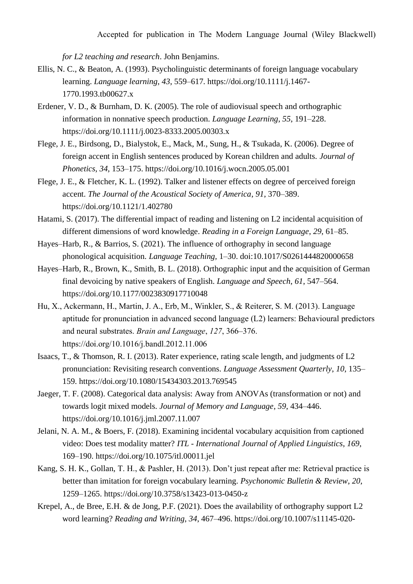*for L2 teaching and research*. John Benjamins.

- Ellis, N. C., & Beaton, A. (1993). Psycholinguistic determinants of foreign language vocabulary learning. *Language learning*, *43*, 559–617. https://doi.org/10.1111/j.1467- 1770.1993.tb00627.x
- Erdener, V. D., & Burnham, D. K. (2005). The role of audiovisual speech and orthographic information in nonnative speech production. *Language Learning*, *55*, 191–228. https://doi.org/10.1111/j.0023-8333.2005.00303.x
- Flege, J. E., Birdsong, D., Bialystok, E., Mack, M., Sung, H., & Tsukada, K. (2006). Degree of foreign accent in English sentences produced by Korean children and adults. *Journal of Phonetics*, *34*, 153–175. https://doi.org/10.1016/j.wocn.2005.05.001
- Flege, J. E., & Fletcher, K. L. (1992). Talker and listener effects on degree of perceived foreign accent. *The Journal of the Acoustical Society of America*, *91*, 370–389. https://doi.org/10.1121/1.402780
- Hatami, S. (2017). The differential impact of reading and listening on L2 incidental acquisition of different dimensions of word knowledge. *Reading in a Foreign Language*, *29*, 61–85.
- Hayes–Harb, R., & Barrios, S. (2021). The influence of orthography in second language phonological acquisition. *Language Teaching,* 1–30. doi:10.1017/S0261444820000658
- Hayes–Harb, R., Brown, K., Smith, B. L. (2018). Orthographic input and the acquisition of German final devoicing by native speakers of English. *Language and Speech*, *61*, 547–564. https://doi.org/10.1177/0023830917710048
- Hu, X., Ackermann, H., Martin, J. A., Erb, M., Winkler, S., & Reiterer, S. M. (2013). Language aptitude for pronunciation in advanced second language (L2) learners: Behavioural predictors and neural substrates. *Brain and Language*, *127*, 366–376. https://doi.org/10.1016/j.bandl.2012.11.006
- Isaacs, T., & Thomson, R. I. (2013). Rater experience, rating scale length, and judgments of L2 pronunciation: Revisiting research conventions. *Language Assessment Quarterly*, *10*, 135– 159. https://doi.org/10.1080/15434303.2013.769545
- Jaeger, T. F. (2008). Categorical data analysis: Away from ANOVAs (transformation or not) and towards logit mixed models. *Journal of Memory and Language*, *59*, 434–446. https://doi.org/10.1016/j.jml.2007.11.007
- Jelani, N. A. M., & Boers, F. (2018). Examining incidental vocabulary acquisition from captioned video: Does test modality matter? *ITL - International Journal of Applied Linguistics*, *169*, 169–190. https://doi.org/10.1075/itl.00011.jel
- Kang, S. H. K., Gollan, T. H., & Pashler, H. (2013). Don't just repeat after me: Retrieval practice is better than imitation for foreign vocabulary learning. *Psychonomic Bulletin & Review*, *20*, 1259–1265. https://doi.org/10.3758/s13423-013-0450-z
- Krepel, A., de Bree, E.H. & de Jong, P.F. (2021). Does the availability of orthography support L2 word learning? *Reading and Writing*, *34*, 467–496. https://doi.org/10.1007/s11145-020-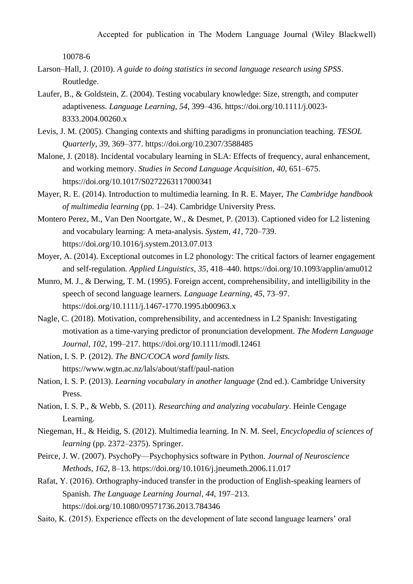Accepted for publication in The Modern Language Journal (Wiley Blackwell)

10078-6

- Larson–Hall, J. (2010). *A guide to doing statistics in second language research using SPSS*. Routledge.
- Laufer, B., & Goldstein, Z. (2004). Testing vocabulary knowledge: Size, strength, and computer adaptiveness. *Language Learning*, *54*, 399–436. https://doi.org/10.1111/j.0023- 8333.2004.00260.x
- Levis, J. M. (2005). Changing contexts and shifting paradigms in pronunciation teaching. *TESOL Quarterly*, *39*, 369–377. https://doi.org/10.2307/3588485
- Malone, J. (2018). Incidental vocabulary learning in SLA: Effects of frequency, aural enhancement, and working memory. *Studies in Second Language Acquisition*, *40*, 651–675. https://doi.org/10.1017/S0272263117000341
- Mayer, R. E. (2014). Introduction to multimedia learning. In R. E. Mayer, *The Cambridge handbook of multimedia learning* (pp. 1–24). Cambridge University Press.
- Montero Perez, M., Van Den Noortgate, W., & Desmet, P. (2013). Captioned video for L2 listening and vocabulary learning: A meta-analysis. *System*, *41*, 720–739. https://doi.org/10.1016/j.system.2013.07.013
- Moyer, A. (2014). Exceptional outcomes in L2 phonology: The critical factors of learner engagement and self-regulation. *Applied Linguistics*, *35*, 418–440. https://doi.org/10.1093/applin/amu012
- Munro, M. J., & Derwing, T. M. (1995). Foreign accent, comprehensibility, and intelligibility in the speech of second language learners. *Language Learning*, *45*, 73–97. https://doi.org/10.1111/j.1467-1770.1995.tb00963.x
- Nagle, C. (2018). Motivation, comprehensibility, and accentedness in L2 Spanish: Investigating motivation as a time-varying predictor of pronunciation development. *The Modern Language Journal*, *102*, 199–217. https://doi.org/10.1111/modl.12461
- Nation, I. S. P. (2012). *The BNC/COCA word family lists.* https://www.wgtn.ac.nz/lals/about/staff/paul-nation
- Nation, I. S. P. (2013). *Learning vocabulary in another language* (2nd ed.). Cambridge University Press.
- Nation, I. S. P., & Webb, S. (2011). *Researching and analyzing vocabulary*. Heinle Cengage Learning.
- Niegeman, H., & Heidig, S. (2012). Multimedia learning. In N. M. Seel, *Encyclopedia of sciences of learning* (pp. 2372–2375). Springer.
- Peirce, J. W. (2007). PsychoPy—Psychophysics software in Python. *Journal of Neuroscience Methods*, *162*, 8–13. https://doi.org/10.1016/j.jneumeth.2006.11.017
- Rafat, Y. (2016). Orthography-induced transfer in the production of English-speaking learners of Spanish. *The Language Learning Journal*, *44*, 197–213. https://doi.org/10.1080/09571736.2013.784346
- Saito, K. (2015). Experience effects on the development of late second language learners' oral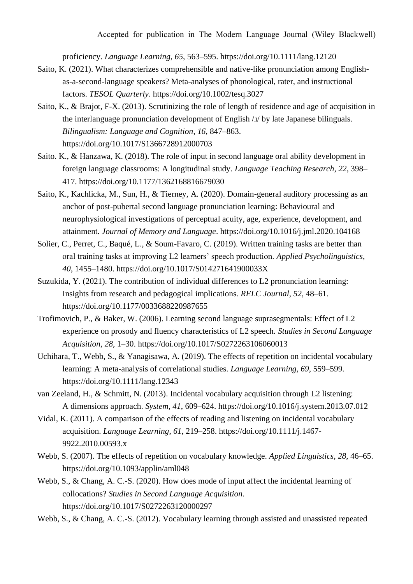proficiency. *Language Learning*, *65*, 563–595. https://doi.org/10.1111/lang.12120

- Saito, K. (2021). What characterizes comprehensible and native-like pronunciation among Englishas-a-second-language speakers? Meta-analyses of phonological, rater, and instructional factors. *TESOL Quarterly*. https://doi.org/10.1002/tesq.3027
- Saito, K., & Brajot, F-X. (2013). Scrutinizing the role of length of residence and age of acquisition in the interlanguage pronunciation development of English / $\mu$  by late Japanese bilinguals. *Bilingualism: Language and Cognition*, *16*, 847–863. https://doi.org/10.1017/S1366728912000703
- Saito. K., & Hanzawa, K. (2018). The role of input in second language oral ability development in foreign language classrooms: A longitudinal study. *Language Teaching Research*, *22*, 398– 417. https://doi.org/10.1177/1362168816679030
- Saito, K., Kachlicka, M., Sun, H., & Tierney, A. (2020). Domain-general auditory processing as an anchor of post-pubertal second language pronunciation learning: Behavioural and neurophysiological investigations of perceptual acuity, age, experience, development, and attainment. *Journal of Memory and Language*. https://doi.org/10.1016/j.jml.2020.104168
- Solier, C., Perret, C., Baqué, L., & Soum-Favaro, C. (2019). Written training tasks are better than oral training tasks at improving L2 learners' speech production. *Applied Psycholinguistics*, *40*, 1455–1480. https://doi.org/10.1017/S014271641900033X
- Suzukida, Y. (2021). The contribution of individual differences to L2 pronunciation learning: Insights from research and pedagogical implications. *RELC Journal*, *52*, 48–61. https://doi.org/10.1177/0033688220987655
- Trofimovich, P., & Baker, W. (2006). Learning second language suprasegmentals: Effect of L2 experience on prosody and fluency characteristics of L2 speech. *Studies in Second Language Acquisition*, *28*, 1–30. https://doi.org/10.1017/S0272263106060013
- Uchihara, T., Webb, S., & Yanagisawa, A. (2019). The effects of repetition on incidental vocabulary learning: A meta-analysis of correlational studies. *Language Learning*, *69*, 559–599. https://doi.org/10.1111/lang.12343
- van Zeeland, H., & Schmitt, N. (2013). Incidental vocabulary acquisition through L2 listening: A dimensions approach. *System*, *41*, 609–624. https://doi.org/10.1016/j.system.2013.07.012
- Vidal, K. (2011). A comparison of the effects of reading and listening on incidental vocabulary acquisition. *Language Learning*, *61*, 219–258. https://doi.org/10.1111/j.1467- 9922.2010.00593.x
- Webb, S. (2007). The effects of repetition on vocabulary knowledge. *Applied Linguistics*, *28*, 46–65. https://doi.org/10.1093/applin/aml048
- Webb, S., & Chang, A. C.-S. (2020). How does mode of input affect the incidental learning of collocations? *Studies in Second Language Acquisition*. https://doi.org/10.1017/S0272263120000297

Webb, S., & Chang, A. C.-S. (2012). Vocabulary learning through assisted and unassisted repeated